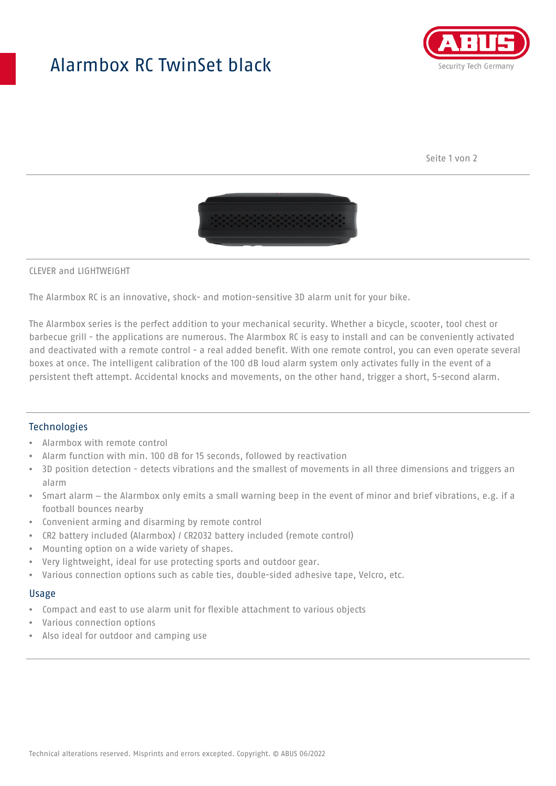## Alarmbox RC TwinSet black



Seite 1 von 2



#### CLEVER and LIGHTWEIGHT

The Alarmbox RC is an innovative, shock- and motion-sensitive 3D alarm unit for your bike.

The Alarmbox series is the perfect addition to your mechanical security. Whether a bicycle, scooter, tool chest or barbecue grill - the applications are numerous. The Alarmbox RC is easy to install and can be conveniently activated and deactivated with a remote control - a real added benefit. With one remote control, you can even operate several boxes at once. The intelligent calibration of the 100 dB loud alarm system only activates fully in the event of a persistent theft attempt. Accidental knocks and movements, on the other hand, trigger a short, 5-second alarm.

#### **Technologies**

- Alarmbox with remote control
- Alarm function with min. 100 dB for 15 seconds, followed by reactivation
- 3D position detection detects vibrations and the smallest of movements in all three dimensions and triggers an alarm
- Smart alarm the Alarmbox only emits a small warning beep in the event of minor and brief vibrations, e.g. if a football bounces nearby
- Convenient arming and disarming by remote control
- CR2 battery included (Alarmbox) / CR2032 battery included (remote control)
- Mounting option on a wide variety of shapes.
- Very lightweight, ideal for use protecting sports and outdoor gear.
- Various connection options such as cable ties, double-sided adhesive tape, Velcro, etc.

#### Usage

- Compact and east to use alarm unit for flexible attachment to various objects
- Various connection options
- Also ideal for outdoor and camping use